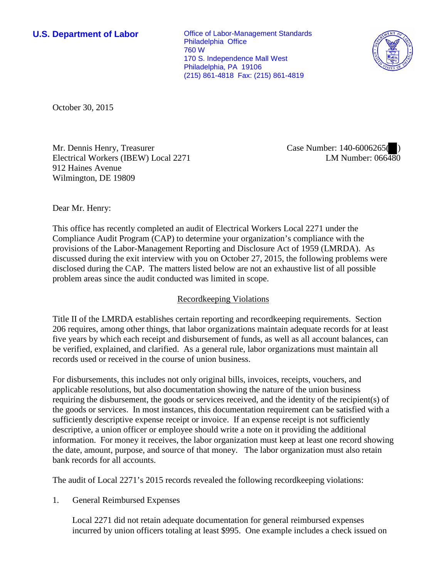**U.S. Department of Labor Conservative Conservative Conservative Conservative Conservative Conservative Conservative Conservative Conservative Conservative Conservative Conservative Conservative Conservative Conservative** Philadelphia Office 760 W 170 S. Independence Mall West Philadelphia, PA 19106 (215) 861-4818 Fax: (215) 861-4819



October 30, 2015

Mr. Dennis Henry, Treasurer Electrical Workers (IBEW) Local 2271 912 Haines Avenue Wilmington, DE 19809

Case Number: 140-6006265( ) LM Number:  $066\overline{480}$ 

Dear Mr. Henry:

This office has recently completed an audit of Electrical Workers Local 2271 under the Compliance Audit Program (CAP) to determine your organization's compliance with the provisions of the Labor-Management Reporting and Disclosure Act of 1959 (LMRDA). As discussed during the exit interview with you on October 27, 2015, the following problems were disclosed during the CAP. The matters listed below are not an exhaustive list of all possible problem areas since the audit conducted was limited in scope.

# Recordkeeping Violations

Title II of the LMRDA establishes certain reporting and recordkeeping requirements. Section 206 requires, among other things, that labor organizations maintain adequate records for at least five years by which each receipt and disbursement of funds, as well as all account balances, can be verified, explained, and clarified. As a general rule, labor organizations must maintain all records used or received in the course of union business.

For disbursements, this includes not only original bills, invoices, receipts, vouchers, and applicable resolutions, but also documentation showing the nature of the union business requiring the disbursement, the goods or services received, and the identity of the recipient(s) of the goods or services. In most instances, this documentation requirement can be satisfied with a sufficiently descriptive expense receipt or invoice. If an expense receipt is not sufficiently descriptive, a union officer or employee should write a note on it providing the additional information. For money it receives, the labor organization must keep at least one record showing the date, amount, purpose, and source of that money. The labor organization must also retain bank records for all accounts.

The audit of Local 2271's 2015 records revealed the following recordkeeping violations:

1. General Reimbursed Expenses

Local 2271 did not retain adequate documentation for general reimbursed expenses incurred by union officers totaling at least \$995. One example includes a check issued on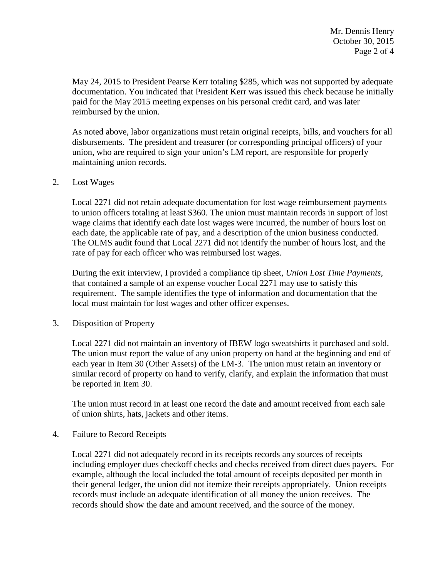May 24, 2015 to President Pearse Kerr totaling \$285, which was not supported by adequate documentation. You indicated that President Kerr was issued this check because he initially paid for the May 2015 meeting expenses on his personal credit card, and was later reimbursed by the union.

As noted above, labor organizations must retain original receipts, bills, and vouchers for all disbursements. The president and treasurer (or corresponding principal officers) of your union, who are required to sign your union's LM report, are responsible for properly maintaining union records.

## 2. Lost Wages

Local 2271 did not retain adequate documentation for lost wage reimbursement payments to union officers totaling at least \$360. The union must maintain records in support of lost wage claims that identify each date lost wages were incurred, the number of hours lost on each date, the applicable rate of pay, and a description of the union business conducted. The OLMS audit found that Local 2271 did not identify the number of hours lost, and the rate of pay for each officer who was reimbursed lost wages.

During the exit interview, I provided a compliance tip sheet, *Union Lost Time Payments*, that contained a sample of an expense voucher Local 2271 may use to satisfy this requirement. The sample identifies the type of information and documentation that the local must maintain for lost wages and other officer expenses.

# 3. Disposition of Property

Local 2271 did not maintain an inventory of IBEW logo sweatshirts it purchased and sold. The union must report the value of any union property on hand at the beginning and end of each year in Item 30 (Other Assets) of the LM-3. The union must retain an inventory or similar record of property on hand to verify, clarify, and explain the information that must be reported in Item 30.

The union must record in at least one record the date and amount received from each sale of union shirts, hats, jackets and other items.

### 4. Failure to Record Receipts

Local 2271 did not adequately record in its receipts records any sources of receipts including employer dues checkoff checks and checks received from direct dues payers. For example, although the local included the total amount of receipts deposited per month in their general ledger, the union did not itemize their receipts appropriately. Union receipts records must include an adequate identification of all money the union receives. The records should show the date and amount received, and the source of the money.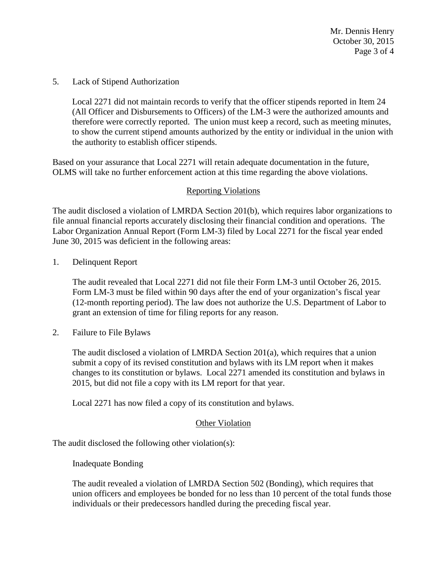Mr. Dennis Henry October 30, 2015 Page 3 of 4

5. Lack of Stipend Authorization

Local 2271 did not maintain records to verify that the officer stipends reported in Item 24 (All Officer and Disbursements to Officers) of the LM-3 were the authorized amounts and therefore were correctly reported. The union must keep a record, such as meeting minutes, to show the current stipend amounts authorized by the entity or individual in the union with the authority to establish officer stipends.

Based on your assurance that Local 2271 will retain adequate documentation in the future, OLMS will take no further enforcement action at this time regarding the above violations.

### Reporting Violations

The audit disclosed a violation of LMRDA Section 201(b), which requires labor organizations to file annual financial reports accurately disclosing their financial condition and operations. The Labor Organization Annual Report (Form LM-3) filed by Local 2271 for the fiscal year ended June 30, 2015 was deficient in the following areas:

1. Delinquent Report

The audit revealed that Local 2271 did not file their Form LM-3 until October 26, 2015. Form LM-3 must be filed within 90 days after the end of your organization's fiscal year (12-month reporting period). The law does not authorize the U.S. Department of Labor to grant an extension of time for filing reports for any reason.

2. Failure to File Bylaws

The audit disclosed a violation of LMRDA Section 201(a), which requires that a union submit a copy of its revised constitution and bylaws with its LM report when it makes changes to its constitution or bylaws. Local 2271 amended its constitution and bylaws in 2015, but did not file a copy with its LM report for that year.

Local 2271 has now filed a copy of its constitution and bylaws.

#### Other Violation

The audit disclosed the following other violation(s):

Inadequate Bonding

The audit revealed a violation of LMRDA Section 502 (Bonding), which requires that union officers and employees be bonded for no less than 10 percent of the total funds those individuals or their predecessors handled during the preceding fiscal year.